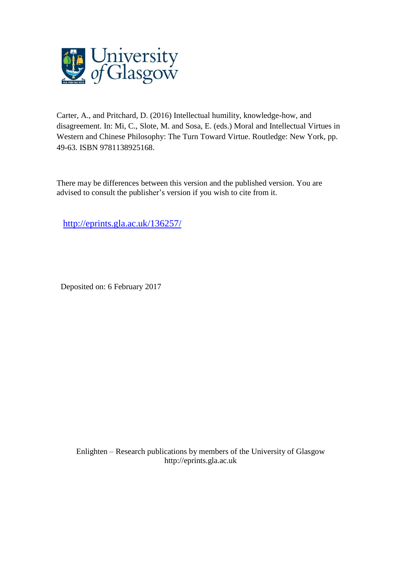

Carter, A., and Pritchard, D. (2016) Intellectual humility, knowledge-how, and disagreement. In: Mi, C., Slote, M. and Sosa, E. (eds.) Moral and Intellectual Virtues in Western and Chinese Philosophy: The Turn Toward Virtue. Routledge: New York, pp. 49-63. ISBN 9781138925168.

There may be differences between this version and the published version. You are advised to consult the publisher's version if you wish to cite from it.

<http://eprints.gla.ac.uk/136257/>

Deposited on: 6 February 2017

Enlighten – Research publications by members of the University of Glasgo[w](http://eprints.gla.ac.uk/) [http://eprints.gla.ac.uk](http://eprints.gla.ac.uk/)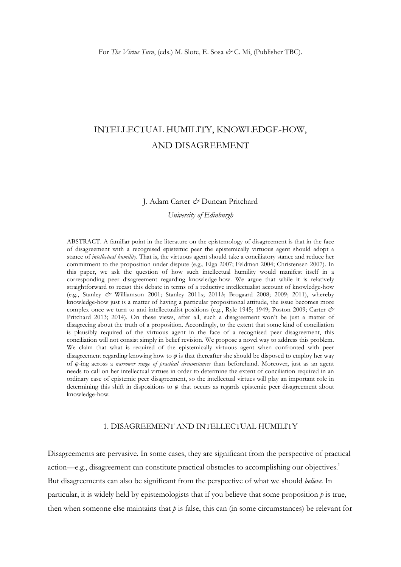# INTELLECTUAL HUMILITY, KNOWLEDGE-HOW, AND DISAGREEMENT

#### J. Adam Carter *&* Duncan Pritchard

*University of Edinburgh* 

ABSTRACT. A familiar point in the literature on the epistemology of disagreement is that in the face of disagreement with a recognised epistemic peer the epistemically virtuous agent should adopt a stance of *intellectual humility*. That is, the virtuous agent should take a conciliatory stance and reduce her commitment to the proposition under dispute (e.g., Elga 2007; Feldman 2004; Christensen 2007). In this paper, we ask the question of how such intellectual humility would manifest itself in a corresponding peer disagreement regarding knowledge-how. We argue that while it is relatively straightforward to recast this debate in terms of a reductive intellectualist account of knowledge-how (e.g., Stanley *&* Williamson 2001; Stanley 2011*a*; 2011*b*; Brogaard 2008; 2009; 2011), whereby knowledge-how just is a matter of having a particular propositional attitude, the issue becomes more complex once we turn to anti-intellectualist positions (e.g., Ryle 1945; 1949; Poston 2009; Carter *&* Pritchard 2013; 2014). On these views, after all, such a disagreement won't be just a matter of disagreeing about the truth of a proposition. Accordingly, to the extent that some kind of conciliation is plausibly required of the virtuous agent in the face of a recognised peer disagreement, this conciliation will not consist simply in belief revision. We propose a novel way to address this problem. We claim that what is required of the epistemically virtuous agent when confronted with peer disagreement regarding knowing how to *φ* is that thereafter she should be disposed to employ her way of *φ*-ing across a *narrower range of practical circumstances* than beforehand. Moreover, just as an agent needs to call on her intellectual virtues in order to determine the extent of conciliation required in an ordinary case of epistemic peer disagreement, so the intellectual virtues will play an important role in determining this shift in dispositions to *φ* that occurs as regards epistemic peer disagreement about knowledge-how.

# 1. DISAGREEMENT AND INTELLECTUAL HUMILITY

Disagreements are pervasive. In some cases, they are significant from the perspective of practical action—e.g., disagreement can constitute practical obstacles to accomplishing our objectives.<sup>1</sup> But disagreements can also be significant from the perspective of what we should *believe.* In particular, it is widely held by epistemologists that if you believe that some proposition  $p$  is true, then when someone else maintains that  $p$  is false, this can (in some circumstances) be relevant for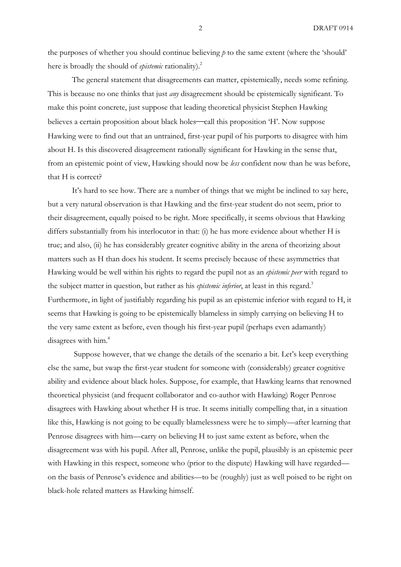the purposes of whether you should continue believing *p* to the same extent (where the 'should' here is broadly the should of *epistemic* rationality). 2

The general statement that disagreements can matter, epistemically, needs some refining. This is because no one thinks that just *any* disagreement should be epistemically significant. To make this point concrete, just suppose that leading theoretical physicist Stephen Hawking believes a certain proposition about black holes—call this proposition 'H'. Now suppose Hawking were to find out that an untrained, first-year pupil of his purports to disagree with him about H. Is this discovered disagreement rationally significant for Hawking in the sense that, from an epistemic point of view, Hawking should now be *less* confident now than he was before, that H is correct?

It's hard to see how. There are a number of things that we might be inclined to say here, but a very natural observation is that Hawking and the first-year student do not seem, prior to their disagreement, equally poised to be right. More specifically, it seems obvious that Hawking differs substantially from his interlocutor in that: (i) he has more evidence about whether H is true; and also, (ii) he has considerably greater cognitive ability in the arena of theorizing about matters such as H than does his student. It seems precisely because of these asymmetries that Hawking would be well within his rights to regard the pupil not as an *epistemic peer* with regard to the subject matter in question, but rather as his *epistemic inferior*, at least in this regard. 3 Furthermore, in light of justifiably regarding his pupil as an epistemic inferior with regard to H, it seems that Hawking is going to be epistemically blameless in simply carrying on believing H to the very same extent as before, even though his first-year pupil (perhaps even adamantly) disagrees with him.<sup>4</sup>

Suppose however, that we change the details of the scenario a bit. Let's keep everything else the same, but swap the first-year student for someone with (considerably) greater cognitive ability and evidence about black holes. Suppose, for example, that Hawking learns that renowned theoretical physicist (and frequent collaborator and co-author with Hawking) Roger Penrose disagrees with Hawking about whether H is true. It seems initially compelling that, in a situation like this, Hawking is not going to be equally blamelessness were he to simply—after learning that Penrose disagrees with him—carry on believing H to just same extent as before, when the disagreement was with his pupil. After all, Penrose, unlike the pupil, plausibly is an epistemic peer with Hawking in this respect, someone who (prior to the dispute) Hawking will have regarded on the basis of Penrose's evidence and abilities—to be (roughly) just as well poised to be right on black-hole related matters as Hawking himself.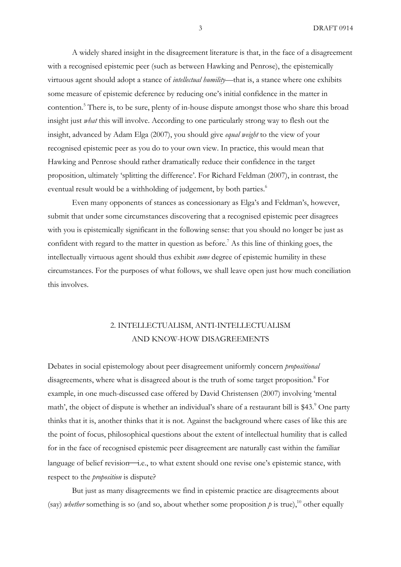A widely shared insight in the disagreement literature is that, in the face of a disagreement with a recognised epistemic peer (such as between Hawking and Penrose), the epistemically virtuous agent should adopt a stance of *intellectual humility*—that is, a stance where one exhibits some measure of epistemic deference by reducing one's initial confidence in the matter in contention.<sup>5</sup> There is, to be sure, plenty of in-house dispute amongst those who share this broad insight just *what* this will involve. According to one particularly strong way to flesh out the insight, advanced by Adam Elga (2007), you should give *equal weight* to the view of your recognised epistemic peer as you do to your own view. In practice, this would mean that Hawking and Penrose should rather dramatically reduce their confidence in the target proposition, ultimately 'splitting the difference'. For Richard Feldman (2007), in contrast, the eventual result would be a withholding of judgement, by both parties.<sup>6</sup>

Even many opponents of stances as concessionary as Elga's and Feldman's, however, submit that under some circumstances discovering that a recognised epistemic peer disagrees with you is epistemically significant in the following sense: that you should no longer be just as confident with regard to the matter in question as before. <sup>7</sup> As this line of thinking goes, the intellectually virtuous agent should thus exhibit *some* degree of epistemic humility in these circumstances. For the purposes of what follows, we shall leave open just how much conciliation this involves.

# 2. INTELLECTUALISM, ANTI-INTELLECTUALISM AND KNOW-HOW DISAGREEMENTS

Debates in social epistemology about peer disagreement uniformly concern *propositional*  disagreements, where what is disagreed about is the truth of some target proposition. <sup>8</sup> For example, in one much-discussed case offered by David Christensen (2007) involving 'mental math', the object of dispute is whether an individual's share of a restaurant bill is \$43.<sup>9</sup> One party thinks that it is, another thinks that it is not. Against the background where cases of like this are the point of focus, philosophical questions about the extent of intellectual humility that is called for in the face of recognised epistemic peer disagreement are naturally cast within the familiar language of belief revision—i.e., to what extent should one revise one's epistemic stance, with respect to the *proposition* is dispute?

But just as many disagreements we find in epistemic practice are disagreements about (say) *whether* something is so (and so, about whether some proposition  $p$  is true),<sup>10</sup> other equally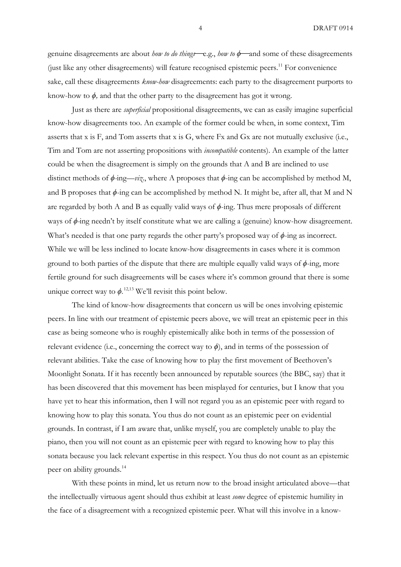genuine disagreements are about *how to do things*—e.g., *how to*  $\phi$ —and some of these disagreements (just like any other disagreements) will feature recognised epistemic peers. <sup>11</sup> For convenience sake, call these disagreements *know-how* disagreements: each party to the disagreement purports to know-how to  $\phi$ , and that the other party to the disagreement has got it wrong.

Just as there are *superficial* propositional disagreements, we can as easily imagine superficial know-how disagreements too. An example of the former could be when, in some context, Tim asserts that x is F, and Tom asserts that x is G, where Fx and Gx are not mutually exclusive (i.e., Tim and Tom are not asserting propositions with *incompatible* contents). An example of the latter could be when the disagreement is simply on the grounds that A and B are inclined to use distinct methods of *ϕ-*ing—*viz*., where A proposes that *ϕ*-ing can be accomplished by method M, and B proposes that  $\phi$ -ing can be accomplished by method N. It might be, after all, that M and N are regarded by both A and B as equally valid ways of *ϕ*-ing. Thus mere proposals of different ways of  $\phi$ -ing needn't by itself constitute what we are calling a (genuine) know-how disagreement. What's needed is that one party regards the other party's proposed way of *ϕ*-ing as incorrect. While we will be less inclined to locate know-how disagreements in cases where it is common ground to both parties of the dispute that there are multiple equally valid ways of  $\phi$ -ing, more fertile ground for such disagreements will be cases where it's common ground that there is some unique correct way to  $\phi$ .<sup>12,13</sup> We'll revisit this point below.

The kind of know-how disagreements that concern us will be ones involving epistemic peers. In line with our treatment of epistemic peers above, we will treat an epistemic peer in this case as being someone who is roughly epistemically alike both in terms of the possession of relevant evidence (i.e., concerning the correct way to  $\phi$ ), and in terms of the possession of relevant abilities. Take the case of knowing how to play the first movement of Beethoven's Moonlight Sonata. If it has recently been announced by reputable sources (the BBC, say) that it has been discovered that this movement has been misplayed for centuries, but I know that you have yet to hear this information, then I will not regard you as an epistemic peer with regard to knowing how to play this sonata. You thus do not count as an epistemic peer on evidential grounds. In contrast, if I am aware that, unlike myself, you are completely unable to play the piano, then you will not count as an epistemic peer with regard to knowing how to play this sonata because you lack relevant expertise in this respect. You thus do not count as an epistemic peer on ability grounds.<sup>14</sup>

With these points in mind, let us return now to the broad insight articulated above—that the intellectually virtuous agent should thus exhibit at least *some* degree of epistemic humility in the face of a disagreement with a recognized epistemic peer. What will this involve in a know-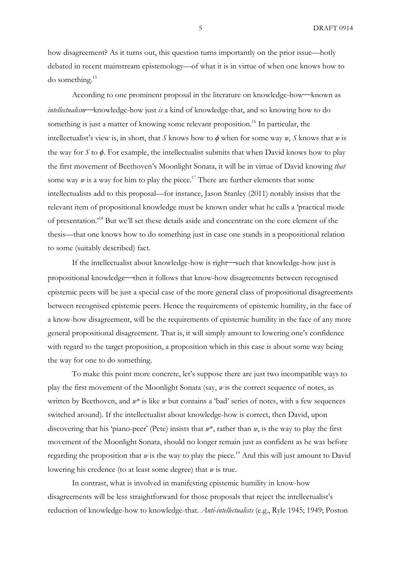how disagreement? As it turns out, this question turns importantly on the prior issue—hotly debated in recent mainstream epistemology—of what it is in virtue of when one knows how to do something. 15

According to one prominent proposal in the literature on knowledge-how—known as *intellectualism*⎯knowledge-how just *is* a kind of knowledge-that, and so knowing how to do something is just a matter of knowing some relevant proposition.<sup>16</sup> In particular, the intellectualist's view is, in short, that *S* knows how to  $\phi$  when for some way *w*, *S* knows that *w* is the way for *S* to *ϕ*. For example, the intellectualist submits that when David knows how to play the first movement of Beethoven's Moonlight Sonata, it will be in virtue of David knowing *that* some way  $w$  is a way for him to play the piece.<sup>17</sup> There are further elements that some intellectualists add to this proposal—for instance, Jason Stanley (2011) notably insists that the relevant item of propositional knowledge must be known under what he calls a 'practical mode of presentation.<sup>18</sup> But we'll set these details aside and concentrate on the core element of the thesis—that one knows how to do something just in case one stands in a propositional relation to some (suitably described) fact.

If the intellectualist about knowledge-how is right—such that knowledge-how just is propositional knowledge—then it follows that know-how disagreements between recognised epistemic peers will be just a special case of the more general class of propositional disagreements between recognised epistemic peers. Hence the requirements of epistemic humility, in the face of a know-how disagreement, will be the requirements of epistemic humility in the face of any more general propositional disagreement. That is, it will simply amount to lowering one's confidence with regard to the target proposition, a proposition which in this case is about some way being the way for one to do something.

To make this point more concrete, let's suppose there are just two incompatible ways to play the first movement of the Moonlight Sonata (say, *w* is the correct sequence of notes, as written by Beethoven, and *w*\* is like *w* but contains a 'bad' series of notes, with a few sequences switched around). If the intellectualist about knowledge-how is correct, then David, upon discovering that his 'piano-peer' (Pete) insists that *w*\*, rather than *w*, is the way to play the first movement of the Moonlight Sonata, should no longer remain just as confident as he was before regarding the proposition that  $w$  is the way to play the piece.<sup>19</sup> And this will just amount to David lowering his credence (to at least some degree) that *w* is true.

In contrast, what is involved in manifesting epistemic humility in know-how disagreements will be less straightforward for those proposals that reject the intellectualist's reduction of knowledge-how to knowledge-that. *Anti-intellectualists* (e.g., Ryle 1945; 1949; Poston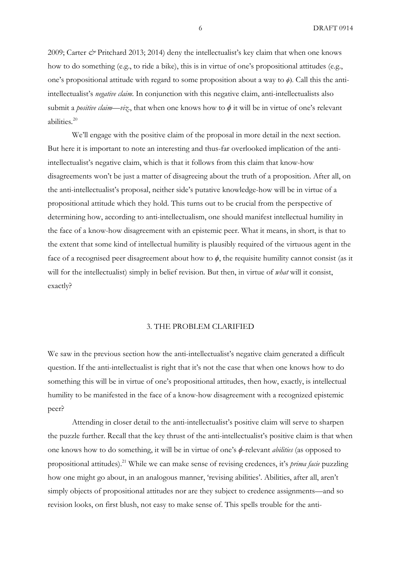2009; Carter *&* Pritchard 2013; 2014) deny the intellectualist's key claim that when one knows how to do something (e.g., to ride a bike), this is in virtue of one's propositional attitudes (e.g., one's propositional attitude with regard to some proposition about a way to *ϕ*). Call this the antiintellectualist's *negative claim*. In conjunction with this negative claim, anti-intellectualists also submit a *positive claim—viz*., that when one knows how to  $\phi$  it will be in virtue of one's relevant abilities*.* 20

We'll engage with the positive claim of the proposal in more detail in the next section. But here it is important to note an interesting and thus-far overlooked implication of the antiintellectualist's negative claim, which is that it follows from this claim that know-how disagreements won't be just a matter of disagreeing about the truth of a proposition. After all, on the anti-intellectualist's proposal, neither side's putative knowledge-how will be in virtue of a propositional attitude which they hold. This turns out to be crucial from the perspective of determining how, according to anti-intellectualism, one should manifest intellectual humility in the face of a know-how disagreement with an epistemic peer. What it means, in short, is that to the extent that some kind of intellectual humility is plausibly required of the virtuous agent in the face of a recognised peer disagreement about how to  $\phi$ , the requisite humility cannot consist (as it will for the intellectualist) simply in belief revision. But then, in virtue of *what* will it consist, exactly?

#### 3. THE PROBLEM CLARIFIED

We saw in the previous section how the anti-intellectualist's negative claim generated a difficult question. If the anti-intellectualist is right that it's not the case that when one knows how to do something this will be in virtue of one's propositional attitudes, then how, exactly, is intellectual humility to be manifested in the face of a know-how disagreement with a recognized epistemic peer?

Attending in closer detail to the anti-intellectualist's positive claim will serve to sharpen the puzzle further. Recall that the key thrust of the anti-intellectualist's positive claim is that when one knows how to do something, it will be in virtue of one's *ϕ*-relevant *abilities* (as opposed to propositional attitudes). <sup>21</sup> While we can make sense of revising credences, it's *prima facie* puzzling how one might go about, in an analogous manner, 'revising abilities'. Abilities, after all, aren't simply objects of propositional attitudes nor are they subject to credence assignments—and so revision looks, on first blush, not easy to make sense of. This spells trouble for the anti-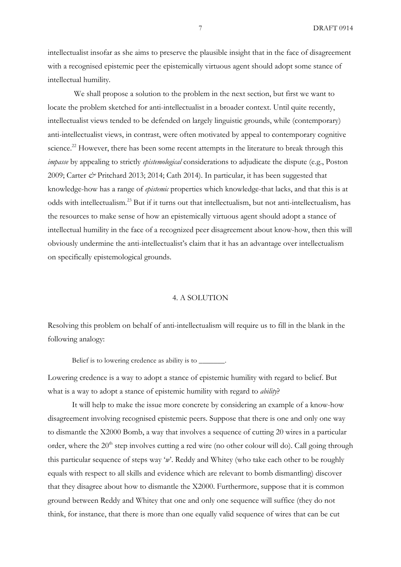intellectualist insofar as she aims to preserve the plausible insight that in the face of disagreement with a recognised epistemic peer the epistemically virtuous agent should adopt some stance of intellectual humility*.*

We shall propose a solution to the problem in the next section, but first we want to locate the problem sketched for anti-intellectualist in a broader context. Until quite recently, intellectualist views tended to be defended on largely linguistic grounds, while (contemporary) anti-intellectualist views, in contrast, were often motivated by appeal to contemporary cognitive science.<sup>22</sup> However, there has been some recent attempts in the literature to break through this *impasse* by appealing to strictly *epistemological* considerations to adjudicate the dispute (e.g., Poston 2009; Carter *&* Pritchard 2013; 2014; Cath 2014). In particular, it has been suggested that knowledge-how has a range of *epistemic* properties which knowledge-that lacks, and that this is at odds with intellectualism.<sup>23</sup> But if it turns out that intellectualism, but not anti-intellectualism, has the resources to make sense of how an epistemically virtuous agent should adopt a stance of intellectual humility in the face of a recognized peer disagreement about know-how, then this will obviously undermine the anti-intellectualist's claim that it has an advantage over intellectualism on specifically epistemological grounds.

### 4. A SOLUTION

Resolving this problem on behalf of anti-intellectualism will require us to fill in the blank in the following analogy:

Belief is to lowering credence as ability is to

Lowering credence is a way to adopt a stance of epistemic humility with regard to belief. But what is a way to adopt a stance of epistemic humility with regard to *ability*?

It will help to make the issue more concrete by considering an example of a know-how disagreement involving recognised epistemic peers. Suppose that there is one and only one way to dismantle the X2000 Bomb, a way that involves a sequence of cutting 20 wires in a particular order, where the 20<sup>th</sup> step involves cutting a red wire (no other colour will do). Call going through this particular sequence of steps way '*w*'. Reddy and Whitey (who take each other to be roughly equals with respect to all skills and evidence which are relevant to bomb dismantling) discover that they disagree about how to dismantle the X2000. Furthermore, suppose that it is common ground between Reddy and Whitey that one and only one sequence will suffice (they do not think, for instance, that there is more than one equally valid sequence of wires that can be cut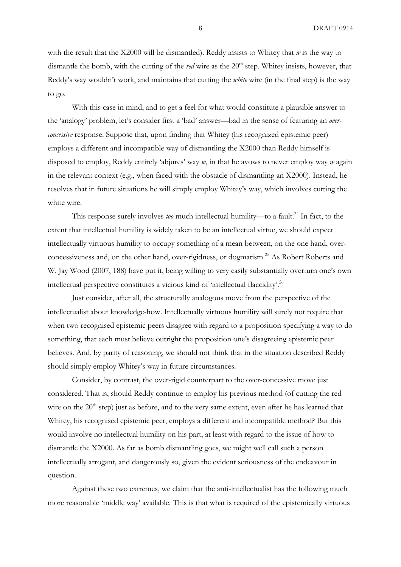with the result that the X2000 will be dismantled). Reddy insists to Whitey that *w* is the way to dismantle the bomb, with the cutting of the *red* wire as the 20<sup>th</sup> step. Whitey insists, however, that Reddy's way wouldn't work, and maintains that cutting the *white* wire (in the final step) is the way to go.

With this case in mind, and to get a feel for what would constitute a plausible answer to the 'analogy' problem, let's consider first a 'bad' answer—bad in the sense of featuring an *overconcessive* response. Suppose that, upon finding that Whitey (his recognized epistemic peer) employs a different and incompatible way of dismantling the X2000 than Reddy himself is disposed to employ, Reddy entirely 'abjures' way *w*, in that he avows to never employ way *w* again in the relevant context (e.g., when faced with the obstacle of dismantling an X2000). Instead, he resolves that in future situations he will simply employ Whitey's way, which involves cutting the white wire.

This response surely involves *too* much intellectual humility—to a fault. <sup>24</sup> In fact, to the extent that intellectual humility is widely taken to be an intellectual virtue, we should expect intellectually virtuous humility to occupy something of a mean between, on the one hand, overconcessiveness and, on the other hand, over-rigidness, or dogmatism. <sup>25</sup> As Robert Roberts and W. Jay Wood (2007, 188) have put it, being willing to very easily substantially overturn one's own intellectual perspective constitutes a vicious kind of 'intellectual flaccidity'.<sup>26</sup>

Just consider, after all, the structurally analogous move from the perspective of the intellectualist about knowledge-how. Intellectually virtuous humility will surely not require that when two recognised epistemic peers disagree with regard to a proposition specifying a way to do something, that each must believe outright the proposition one's disagreeing epistemic peer believes. And, by parity of reasoning, we should not think that in the situation described Reddy should simply employ Whitey's way in future circumstances.

Consider, by contrast, the over-rigid counterpart to the over-concessive move just considered. That is, should Reddy continue to employ his previous method (of cutting the red wire on the  $20<sup>th</sup>$  step) just as before, and to the very same extent, even after he has learned that Whitey, his recognised epistemic peer, employs a different and incompatible method? But this would involve no intellectual humility on his part, at least with regard to the issue of how to dismantle the X2000. As far as bomb dismantling goes, we might well call such a person intellectually arrogant, and dangerously so, given the evident seriousness of the endeavour in question.

Against these two extremes, we claim that the anti-intellectualist has the following much more reasonable 'middle way' available. This is that what is required of the epistemically virtuous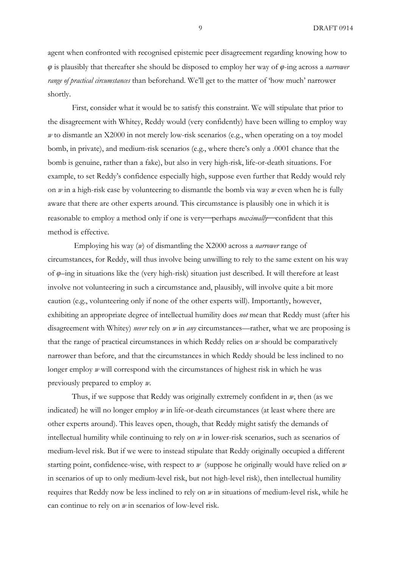agent when confronted with recognised epistemic peer disagreement regarding knowing how to *φ* is plausibly that thereafter she should be disposed to employ her way of *φ*-ing across a *narrower range of practical circumstances* than beforehand. We'll get to the matter of 'how much' narrower shortly.

First, consider what it would be to satisfy this constraint. We will stipulate that prior to the disagreement with Whitey, Reddy would (very confidently) have been willing to employ way *w* to dismantle an X2000 in not merely low-risk scenarios (e.g., when operating on a toy model bomb, in private), and medium-risk scenarios (e.g., where there's only a .0001 chance that the bomb is genuine, rather than a fake), but also in very high-risk, life-or-death situations. For example, to set Reddy's confidence especially high, suppose even further that Reddy would rely on *w* in a high-risk case by volunteering to dismantle the bomb via way *w* even when he is fully aware that there are other experts around. This circumstance is plausibly one in which it is reasonable to employ a method only if one is very-perhaps *maximally*-confident that this method is effective.

Employing his way (*w*) of dismantling the X2000 across a *narrower* range of circumstances, for Reddy, will thus involve being unwilling to rely to the same extent on his way of *φ*–ing in situations like the (very high-risk) situation just described. It will therefore at least involve not volunteering in such a circumstance and, plausibly, will involve quite a bit more caution (e.g., volunteering only if none of the other experts will). Importantly, however, exhibiting an appropriate degree of intellectual humility does *not* mean that Reddy must (after his disagreement with Whitey) *never* rely on *w* in *any* circumstances—rather, what we are proposing is that the range of practical circumstances in which Reddy relies on *w* should be comparatively narrower than before, and that the circumstances in which Reddy should be less inclined to no longer employ *w* will correspond with the circumstances of highest risk in which he was previously prepared to employ *w.* 

Thus, if we suppose that Reddy was originally extremely confident in *w*, then (as we indicated) he will no longer employ *w* in life-or-death circumstances (at least where there are other experts around). This leaves open, though, that Reddy might satisfy the demands of intellectual humility while continuing to rely on *w* in lower-risk scenarios, such as scenarios of medium-level risk. But if we were to instead stipulate that Reddy originally occupied a different starting point, confidence-wise, with respect to *w* (suppose he originally would have relied on *w*  in scenarios of up to only medium-level risk, but not high-level risk), then intellectual humility requires that Reddy now be less inclined to rely on *w* in situations of medium-level risk, while he can continue to rely on *w* in scenarios of low-level risk.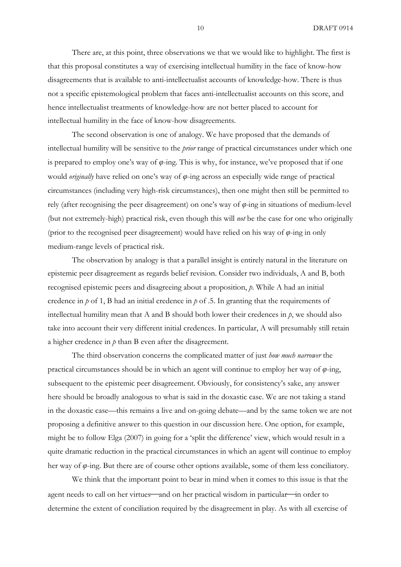There are, at this point, three observations we that we would like to highlight. The first is that this proposal constitutes a way of exercising intellectual humility in the face of know-how disagreements that is available to anti-intellectualist accounts of knowledge-how. There is thus not a specific epistemological problem that faces anti-intellectualist accounts on this score, and hence intellectualist treatments of knowledge-how are not better placed to account for intellectual humility in the face of know-how disagreements.

The second observation is one of analogy. We have proposed that the demands of intellectual humility will be sensitive to the *prior* range of practical circumstances under which one is prepared to employ one's way of *φ*-ing. This is why, for instance, we've proposed that if one would *originally* have relied on one's way of *φ*-ing across an especially wide range of practical circumstances (including very high-risk circumstances), then one might then still be permitted to rely (after recognising the peer disagreement) on one's way of *φ-*ing in situations of medium-level (but not extremely-high) practical risk, even though this will *not* be the case for one who originally (prior to the recognised peer disagreement) would have relied on his way of *φ*-ing in only medium-range levels of practical risk.

The observation by analogy is that a parallel insight is entirely natural in the literature on epistemic peer disagreement as regards belief revision. Consider two individuals, A and B, both recognised epistemic peers and disagreeing about a proposition, *p*. While A had an initial credence in *p* of 1, B had an initial credence in *p* of .5. In granting that the requirements of intellectual humility mean that A and B should both lower their credences in *p*, we should also take into account their very different initial credences. In particular, A will presumably still retain a higher credence in *p* than B even after the disagreement.

The third observation concerns the complicated matter of just *how much narrower* the practical circumstances should be in which an agent will continue to employ her way of *φ*-ing, subsequent to the epistemic peer disagreement. Obviously, for consistency's sake, any answer here should be broadly analogous to what is said in the doxastic case. We are not taking a stand in the doxastic case—this remains a live and on-going debate—and by the same token we are not proposing a definitive answer to this question in our discussion here. One option, for example, might be to follow Elga (2007) in going for a 'split the difference' view, which would result in a quite dramatic reduction in the practical circumstances in which an agent will continue to employ her way of *φ*-ing. But there are of course other options available, some of them less conciliatory.

We think that the important point to bear in mind when it comes to this issue is that the agent needs to call on her virtues—and on her practical wisdom in particular—in order to determine the extent of conciliation required by the disagreement in play. As with all exercise of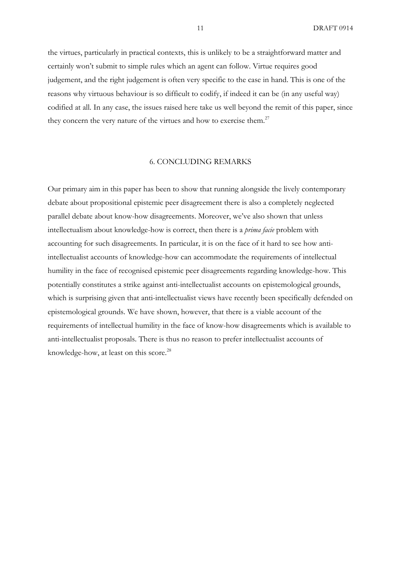11 DRAFT 0914

the virtues, particularly in practical contexts, this is unlikely to be a straightforward matter and certainly won't submit to simple rules which an agent can follow. Virtue requires good judgement, and the right judgement is often very specific to the case in hand. This is one of the reasons why virtuous behaviour is so difficult to codify, if indeed it can be (in any useful way) codified at all. In any case, the issues raised here take us well beyond the remit of this paper, since they concern the very nature of the virtues and how to exercise them.<sup>27</sup>

## 6. CONCLUDING REMARKS

Our primary aim in this paper has been to show that running alongside the lively contemporary debate about propositional epistemic peer disagreement there is also a completely neglected parallel debate about know-how disagreements. Moreover, we've also shown that unless intellectualism about knowledge-how is correct, then there is a *prima facie* problem with accounting for such disagreements. In particular, it is on the face of it hard to see how antiintellectualist accounts of knowledge-how can accommodate the requirements of intellectual humility in the face of recognised epistemic peer disagreements regarding knowledge-how. This potentially constitutes a strike against anti-intellectualist accounts on epistemological grounds, which is surprising given that anti-intellectualist views have recently been specifically defended on epistemological grounds. We have shown, however, that there is a viable account of the requirements of intellectual humility in the face of know-how disagreements which is available to anti-intellectualist proposals. There is thus no reason to prefer intellectualist accounts of knowledge-how, at least on this score.<sup>28</sup>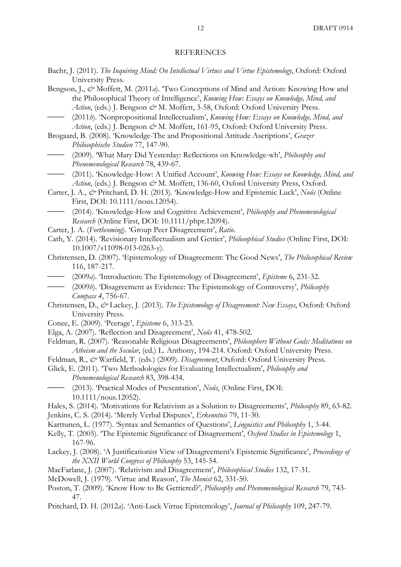#### REFERENCES

- Baehr, J. (2011). *The Inquiring Mind: On Intellectual Virtues and Virtue Epistemology*, Oxford: Oxford University Press.
- Bengson, J., & Moffett, M. (2011*a*). Two Conceptions of Mind and Action: Knowing How and the Philosophical Theory of Intelligence', *Knowing How: Essays on Knowledge, Mind, and*  Action, (eds.) J. Bengson  $\mathcal{Q}$ <sup>x</sup> M. Moffett, 3-58, Oxford: Oxford University Press.
- ⎯⎯ (2011*b*). 'Nonpropositional Intellectualism', *Knowing How: Essays on Knowledge, Mind, and Action*, (eds.) J. Bengson  $\mathcal{Q}^*$  M. Moffett, 161-95, Oxford: Oxford University Press.
- Brogaard, B. (2008). 'Knowledge-The and Propositional Attitude Ascriptions', *Grazer Philosophische Studien* 77, 147-90.
- ⎯⎯ (2009). 'What Mary Did Yesterday: Reflections on Knowledge-wh', *Philosophy and Phenomenological Research* 78, 439-67.
- (2011). 'Knowledge-How: A Unified Account', *Knowing How: Essays on Knowledge, Mind, and Action*, (eds.) J. Bengson  $\mathcal{Q}$ <sup>x</sup> M. Moffett, 136-60, Oxford University Press, Oxford.
- Carter, J. A., *&* Pritchard, D. H. (2013). 'Knowledge-How and Epistemic Luck', *Noûs* (Online First, DOI: 10.1111/nous.12054).
- ⎯⎯ (2014). 'Knowledge-How and Cognitive Achievement', *Philosophy and Phenomenological Research* (Online First, DOI: 10.1111/phpr.12094).
- Carter, J. A. (*Forthcoming*). 'Group Peer Disagreement', *Ratio*.
- Cath, Y. (2014). 'Revisionary Intellectualism and Gettier', *Philosophical Studies* (Online First, DOI: 10.1007/s11098-013-0263-y).
- Christensen, D. (2007). 'Epistemology of Disagreement: The Good News', *The Philosophical Review* 116, 187-217.
- ⎯⎯ (2009*a*). 'Introduction: The Epistemology of Disagreement', *Episteme* 6, 231-32.
- ⎯⎯ (2009*b*). 'Disagreement as Evidence: The Epistemology of Controversy', *Philosophy Compass 4*, 756-67.
- Christensen, D., *&* Lackey, J. (2013). *The Epistemology of Disagreement: New Essays*, Oxford: Oxford University Press.
- Conee, E. (2009). 'Peerage', *Episteme* 6, 313-23.
- Elga, A. (2007). 'Reflection and Disagreement', *Noûs* 41, 478-502.
- Feldman, R. (2007). 'Reasonable Religious Disagreements', *Philosophers Without Gods: Meditations on Atheism and the Secular*, (ed.) L. Anthony, 194-214. Oxford: Oxford University Press.
- Feldman, R., & Warfield, T. (eds.) (2009). *Disagreement*, Oxford: Oxford University Press.
- Glick, E. (2011). 'Two Methodologies for Evaluating Intellectualism', *Philosophy and Phenomenological Research* 83, 398-434.
	- ⎯⎯ (2013). 'Practical Modes of Presentation', *Noûs*, (Online First, DOI: 10.1111/nous.12052).
- Hales, S. (2014). 'Motivations for Relativism as a Solution to Disagreements', *Philosophy* 89, 63-82. Jenkins, C. S. (2014). 'Merely Verbal Disputes', *Erkenntnis* 79, 11-30.
- Karttunen, L. (1977). 'Syntax and Semantics of Questions', *Linguistics and Philosophy* 1, 3-44.
- Kelly, T. (2005). 'The Epistemic Significance of Disagreement', *Oxford Studies in Epistemology* 1, 167-96.
- Lackey, J. (2008). 'A Justificationist View of Disagreement's Epistemic Significance', *Proceedings of the XXII World Congress of Philosophy* 53, 145-54.
- MacFarlane, J. (2007). 'Relativism and Disagreement', *Philosophical Studies* 132, 17-31.
- McDowell, J. (1979). 'Virtue and Reason', *The Monist* 62, 331-50.
- Poston, T. (2009). 'Know How to Be Gettiered?', *Philosophy and Phenomenological Research* 79, 743- 47.
- Pritchard, D. H. (2012*a*). 'Anti-Luck Virtue Epistemology', *Journal of Philosophy* 109, 247-79.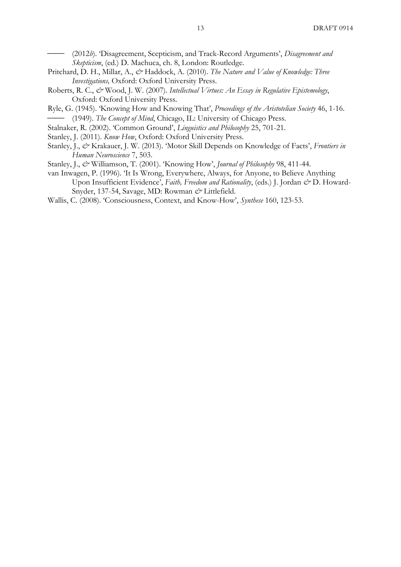⎯⎯ (2012*b*). 'Disagreement, Scepticism, and Track-Record Arguments', *Disagreement and Skepticism*, (ed.) D. Machuca, ch. 8, London: Routledge.

- Pritchard, D. H., Millar, A., & Haddock, A. (2010). *The Nature and Value of Knowledge: Three Investigations,* Oxford: Oxford University Press.
- Roberts, R. C., & Wood, J. W. (2007). *Intellectual Virtues: An Essay in Regulative Epistemology*, Oxford: Oxford University Press.
- Ryle, G. (1945). 'Knowing How and Knowing That', *Proceedings of the Aristotelian Society* 46, 1-16. (1949). *The Concept of Mind*, Chicago, IL: University of Chicago Press.
- Stalnaker, R. (2002). 'Common Ground', *Linguistics and Philosophy* 25, 701-21.
- Stanley, J. (2011). *Know How*, Oxford: Oxford University Press.
- Stanley, J., *&* Krakauer, J. W. (2013). 'Motor Skill Depends on Knowledge of Facts', *Frontiers in Human Neuroscience* 7, 503.
- Stanley, J., *&* Williamson, T. (2001). 'Knowing How', *Journal of Philosophy* 98, 411-44.
- van Inwagen, P. (1996). 'It Is Wrong, Everywhere, Always, for Anyone, to Believe Anything Upon Insufficient Evidence', *Faith, Freedom and Rationality*, (eds.) J. Jordan & D. Howard-Snyder, 137-54, Savage, MD: Rowman  $\mathcal O$  Littlefield.
- Wallis, C. (2008). 'Consciousness, Context, and Know-How', *Synthese* 160, 123-53.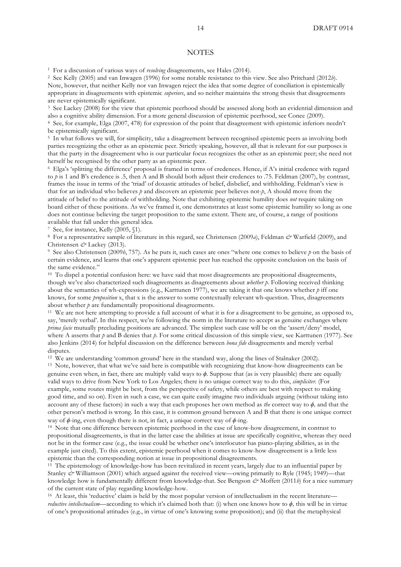#### **NOTES**

<sup>1</sup> For a discussion of various ways of *resolving* disagreements, see Hales (2014).

<sup>2</sup> See Kelly (2005) and van Inwagen (1996) for some notable resistance to this view. See also Pritchard (2012*b*). Note, however, that neither Kelly nor van Inwagen reject the idea that some degree of conciliation is epistemically appropriate in disagreements with epistemic *superiors*, and so neither maintains the strong thesis that disagreements are never epistemically significant.<br><sup>3</sup> See Lackey (2008) for the view that epistemic peerhood should be assessed along both an evidential dimension and

also a cognitive ability dimension. For a more general discussion of epistemic peerhood, see Conee (2009).

<sup>4</sup> See, for example, Elga (2007, 478) for expression of the point that disagreement with epistemic inferiors needn't be epistemically significant.<br><sup>5</sup> In what follows we will, for simplicity, take a disagreement between recognised epistemic peers as involving both

parties recognizing the other as an epistemic peer. Strictly speaking, however, all that is relevant for our purposes is that the party in the disagreement who is our particular focus recognizes the other as an epistemic peer; she need not herself be recognised by the other party as an epistemic peer.

<sup>6</sup> Elga's 'splitting the difference' proposal is framed in terms of credences. Hence, if A's initial credence with regard to  $\dot{p}$  is 1 and B's credence is .5, then A and B should both adjust their credences to .75. Feldman (2007), by contrast, frames the issue in terms of the 'triad' of doxastic attitudes of belief, disbelief, and withholding. Feldman's view is that for an individual who believes *p* and discovers an epistemic peer believes not-*p*, A should move from the attitude of belief to the attitude of withholding. Note that exhibiting epistemic humility does *not* require taking on board either of these positions. As we've framed it, one demonstrates at least some epistemic humility so long as one does not continue believing the target proposition to the same extent. There are, of course, a range of positions available that fall under this general idea. 7 See, for instance, Kelly (2005, §1).

8 For a representative sample of literature in this regard, see Christensen (2009a), Feldman & Warfield (2009), and Christensen *&* Lackey (2013).

<sup>9</sup> See also Christensen (2009*b*, 757). As he puts it, such cases are ones "where one comes to believe *p* on the basis of certain evidence, and learns that one's apparent epistemic peer has reached the opposite conclusion on the basis of the same evidence."

<sup>10</sup> To dispel a potential confusion here: we have said that most disagreements are propositional disagreements, though we've also characterized such disagreements as disagreements about *whether p*. Following received thinking about the semantics of wh-expressions (e.g., Karttunen 1977), we are taking it that one knows whether *p* iff one knows, for some *proposition* x, that x is the answer to some contextually relevant wh-question. Thus, disagreements about whether  $p$  are fundamentally propositional disagreements.<br><sup>11</sup> We are not here attempting to provide a full account of what it is for a disagreement to be genuine, as opposed to,

say, 'merely verbal'. In this respect, we're following the norm in the literature to accept as genuine exchanges where *prima facie* mutually precluding positions are advanced. The simplest such case will be on the 'assert/deny' model, where A asserts that *p* and B denies that *p*. For some critical discussion of this simple view, see Karttunen (1977). See also Jenkins (2014) for helpful discussion on the difference between *bona fide* disagreements and merely verbal disputes.

<sup>12</sup> We are understanding 'common ground' here in the standard way, along the lines of Stalnaker (2002).

<sup>13</sup> Note, however, that what we've said here is compatible with recognizing that know-how disagreements can be genuine even when, in fact, there are multiply valid ways to *ϕ.* Suppose that (as is very plausible) there are equally valid ways to drive from New York to Los Angeles; there is no unique correct way to do this, *simpliciter*. (For example, some routes might be best, from the perspective of safety, while others are best with respect to making good time, and so on). Even in such a case, we can quite easily imagine two individuals arguing (without taking into account any of these factors) in such a way that each proposes her own method as *the* correct way to *ϕ,* and that the other person's method is wrong. In this case, it is common ground between A and B that there is one unique correct way of *ϕ*-ing, even though there is not, in fact, a unique correct way of *ϕ*-ing.

<sup>14</sup> Note that one difference between epistemic peerhood in the case of know-how disagreement, in contrast to propositional disagreements, is that in the latter case the abilities at issue are specifically cognitive, whereas they need not be in the former case (e.g., the issue could be whether one's interlocutor has piano-playing abilities, as in the example just cited). To this extent, epistemic peerhood when it comes to know-how disagreement is a little less epistemic than the corresponding notion at issue in propositional disagreements.<br><sup>15</sup> The epistemology of knowledge-how has been revitalized in recent years, largely due to an influential paper by

Stanley  $\mathcal O$ <sup>x</sup> Williamson (2001) which argued against the received view—owing primarily to Ryle (1945; 1949)—that knowledge how is fundamentally different from knowledge-that. See Bengson  $\mathcal{O}^*$  Moffett (2011*b*) for a nice summary of the current state of play regarding knowledge-how.

<sup>16</sup> At least, this 'reductive' claim is held by the most popular version of intellectualism in the recent literature *reductive intellectualism*—according to which it's claimed both that: (i) when one knows how to *ϕ,* this will be in virtue of one's propositional attitudes (e.g., in virtue of one's knowing some proposition); and (ii) that the metaphysical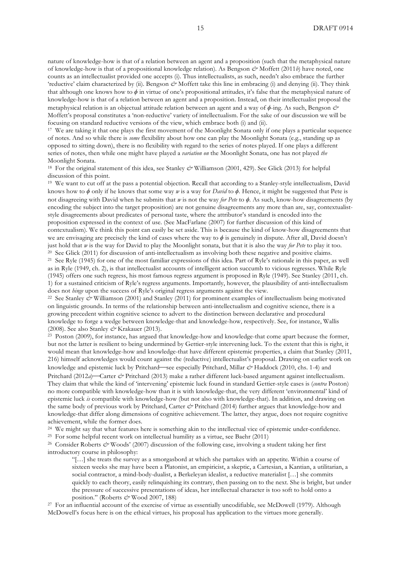nature of knowledge-how is that of a relation between an agent and a proposition (such that the metaphysical nature of knowledge-how is that of a propositional knowledge relation). As Bengson *&* Moffett (2011*b*) have noted, one counts as an intellectualist provided one accepts (i). Thus intellectualists, as such, needn't also embrace the further 'reductive' claim characterized by (ii). Bengson  $\mathcal{O}^*$  Moffett take this line in embracing (i) and denying (ii). They think that although one knows how to  $\phi$  in virtue of one's propositional attitudes, it's false that the metaphysical nature of knowledge-how is that of a relation between an agent and a proposition. Instead, on their intellectualist proposal the metaphysical relation is an objectual attitude relation between an agent and a way of *ϕ*-ing. As such, Bengson *&* Moffett's proposal constitutes a 'non-reductive' variety of intellectualism. For the sake of our discussion we will be focusing on standard reductive versions of the view, which embrace both (i) and (ii).

<sup>17</sup> We are taking it that one plays the first movement of the Moonlight Sonata only if one plays a particular sequence of notes. And so while there is *some* flexibility about how one can play the Moonlight Sonata (e.g., standing up as opposed to sitting down), there is no flexibility with regard to the series of notes played. If one plays a different series of notes, then while one might have played a *variation on* the Moonlight Sonata, one has not played *the* Moonlight Sonata.

<sup>18</sup> For the original statement of this idea, see Stanley *&* Williamson (2001, 429). See Glick (2013) for helpful discussion of this point.

<sup>19</sup> We want to cut off at the pass a potential objection. Recall that according to a Stanley-style intellectualism, David knows how to *ϕ* only if he knows that some way *w* is a way for *David* to *ϕ.* Hence, it might be suggested that Pete is not disagreeing with David when he submits that *w* is not the way *for Pete* to *ϕ.* As such, know-how disagreements (by encoding the subject into the target proposition) are not genuine disagreements any more than are, say, contextualiststyle disagreements about predicates of personal taste, where the attributor's standard is encoded into the proposition expressed in the context of use. (See MacFarlane (2007) for further discussion of this kind of contextualism). We think this point can easily be set aside. This is because the kind of know-how disagreements that we are envisaging are precisely the kind of cases where the way to *ϕ* is genuinely in dispute. After all, David doesn't just hold that  $w$  is the way for David to play the Moonlight sonata, but that it is also the way *for Pete* to play it too.<br><sup>20</sup> See Glick (2011) for discussion of anti-intellectualism as involving both these negative an <sup>21</sup> See Ryle (1945) for one of the most familiar expressions of this idea. Part of Ryle's rationale in this paper, as well as in Ryle (1949, ch. 2), is that intellectualist accounts of intelligent action succumb to vicious regresses. While Ryle (1945) offers one such regress, his most famous regress argument is proposed in Ryle (1949). See Stanley (2011, ch. 1) for a sustained criticism of Ryle's regress arguments. Importantly, however, the plausibility of anti-intellectualism

does not *hinge* upon the success of Ryle's original regress arguments against the view.<br><sup>22</sup> See Stanley  $\mathcal{O}'$  Williamson (2001) and Stanley (2011) for prominent examples of intellectualism being motivated on linguistic grounds. In terms of the relationship between anti-intellectualism and cognitive science, there is a growing precedent within cognitive science to advert to the distinction between declarative and procedural knowledge to forge a wedge between knowledge-that and knowledge-how, respectively. See, for instance, Wallis (2008). See also Stanley & Krakauer (2013).<br><sup>23</sup> Poston (2009), for instance, has argued that knowledge-how and knowledge-that come apart because the former,

but not the latter is resilient to being undermined by Gettier-style intervening luck. To the extent that this is right, it would mean that knowledge-how and knowledge-that have different epistemic properties, a claim that Stanley (2011, 216) himself acknowledges would count against the (reductive) intellectualist's proposal. Drawing on earlier work on knowledge and epistemic luck by Pritchard—see especially Pritchard, Millar  $\dot{\mathscr{C}}$  Haddock (2010, chs. 1-4) and Pritchard (2012*a*)—Carter & Pritchard (2013) make a rather different luck-based argument against intellectualism. They claim that while the kind of 'intervening' epistemic luck found in standard Gettier-style cases is (*contra* Poston) no more compatible with knowledge-how than it is with knowledge-that, the very different 'environmental' kind of epistemic luck *is* compatible with knowledge-how (but not also with knowledge-that). In addition, and drawing on the same body of previous work by Pritchard, Carter *&* Pritchard (2014) further argues that knowledge-how and knowledge-that differ along dimensions of cognitive achievement. The latter, they argue, does not require cognitive achievement, while the former does.

<sup>24</sup> We might say that what features here is something akin to the intellectual vice of epistemic under-confidence.

<sup>25</sup> For some helpful recent work on intellectual humility as a virtue, see Baehr (2011)

<sup>26</sup> Consider Roberts *&* Woods' (2007) discussion of the following case, involving a student taking her first introductory course in philosophy:

"[…] she treats the survey as a smorgasbord at which she partakes with an appetite. Within a course of sixteen weeks she may have been a Platonist, an empiricist, a skeptic, a Cartesian, a Kantian, a utilitarian, a social contractor, a mind-body-dualist, a Berkeleyan idealist, a reductive materialist […] she commits quickly to each theory, easily relinquishing its contrary, then passing on to the next. She is bright, but under the pressure of successive presentations of ideas, her intellectual character is too soft to hold onto a position." (Roberts *&* Wood 2007, 188)

<sup>27</sup> For an influential account of the exercise of virtue as essentially uncodifiable, see McDowell (1979). Although McDowell's focus here is on the ethical virtues, his proposal has application to the virtues more generally.